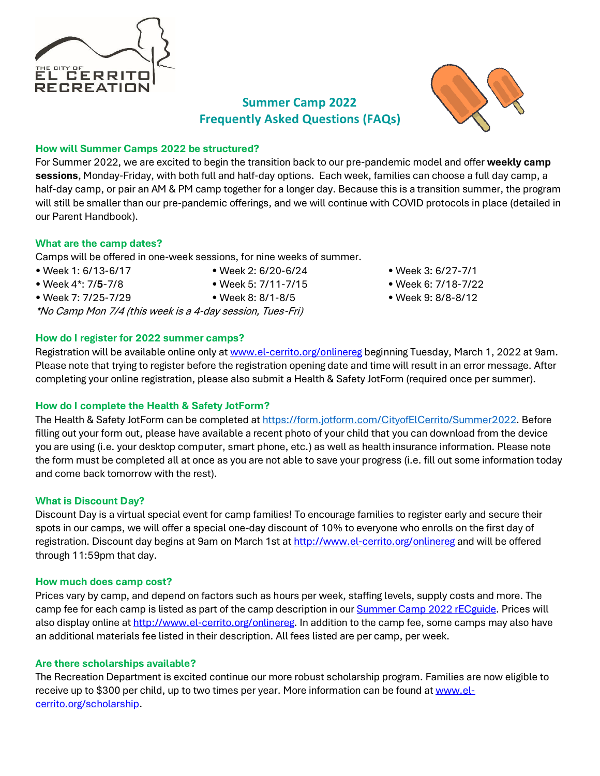

# **Summer Camp 2022 Frequently Asked Questions (FAQs)**



### **How will Summer Camps 2022 be structured?**

For Summer 2022, we are excited to begin the transition back to our pre-pandemic model and offer **weekly camp sessions**, Monday-Friday, with both full and half-day options. Each week, families can choose a full day camp, a half-day camp, or pair an AM & PM camp together for a longer day. Because this is a transition summer, the program will still be smaller than our pre-pandemic offerings, and we will continue with COVID protocols in place (detailed in our Parent Handbook).

### **What are the camp dates?**

Camps will be offered in one-week sessions, for nine weeks of summer.

- 
- 
- Week 7: 7/25-7/29 Week 8: 8/1-8/5 Week 9: 8/8-8/12

\*No Camp Mon 7/4 (this week is a 4-day session, Tues-Fri)

### **How do I register for 2022 summer camps?**

• Week 1: 6/13-6/17 • Week 2: 6/20-6/24 • Week 3: 6/27-7/1

- Week 4\*: 7/**5**-7/8 Week 5: 7/11-7/15 Week 6: 7/18-7/22
	-

Registration will be available online only at [www.el-cerrito.org/onlinereg](http://www.el-cerrito.org/onlinereg) beginning Tuesday, March 1, 2022 at 9am. Please note that trying to register before the registration opening date and time will result in an error message. After completing your online registration, please also submit a Health & Safety JotForm (required once per summer).

# **How do I complete the Health & Safety JotForm?**

The Health & Safety JotForm can be completed at [https://form.jotform.com/CityofElCerrito/Summer2022.](https://form.jotform.com/CityofElCerrito/Summer2022) Before filling out your form out, please have available a recent photo of your child that you can download from the device you are using (i.e. your desktop computer, smart phone, etc.) as well as health insurance information. Please note the form must be completed all at once as you are not able to save your progress (i.e. fill out some information today and come back tomorrow with the rest).

# **What is Discount Day?**

Discount Day is a virtual special event for camp families! To encourage families to register early and secure their spots in our camps, we will offer a special one-day discount of 10% to everyone who enrolls on the first day of registration. Discount day begins at 9am on March 1st a[t http://www.el-cerrito.org/onlinereg](http://www.el-cerrito.org/onlinereg) and will be offered through 11:59pm that day.

# **How much does camp cost?**

Prices vary by camp, and depend on factors such as hours per week, staffing levels, supply costs and more. The camp fee for each camp is listed as part of the camp description in our **Summer Camp 2022 rECguide**. Prices will also display online at [http://www.el-cerrito.org/onlinereg.](http://www.el-cerrito.org/onlinereg) In addition to the camp fee, some camps may also have an additional materials fee listed in their description. All fees listed are per camp, per week.

# **Are there scholarships available?**

The Recreation Department is excited continue our more robust scholarship program. Families are now eligible to receive up to \$300 per child, up to two times per year. More information can be found a[t www.el](http://www.el-cerrito.org/scholarship)[cerrito.org/scholarship.](http://www.el-cerrito.org/scholarship)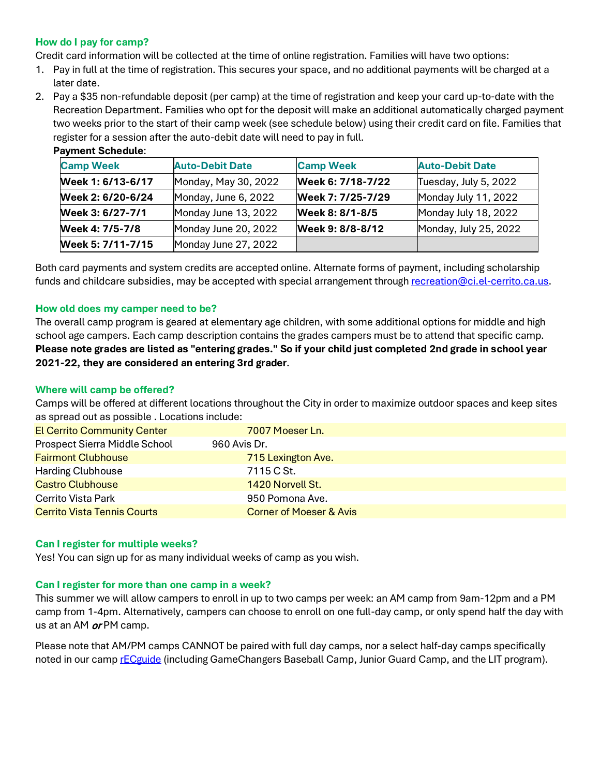### **How do I pay for camp?**

Credit card information will be collected at the time of online registration. Families will have two options:

- 1. Pay in full at the time of registration. This secures your space, and no additional payments will be charged at a later date.
- 2. Pay a \$35 non-refundable deposit (per camp) at the time of registration and keep your card up-to-date with the Recreation Department. Families who opt for the deposit will make an additional automatically charged payment two weeks prior to the start of their camp week (see schedule below) using their credit card on file. Families that register for a session after the auto-debit date will need to pay in full.

| <b>Camp Week</b>  | <b>Auto-Debit Date</b> | <b>Camp Week</b>  | <b>Auto-Debit Date</b> |
|-------------------|------------------------|-------------------|------------------------|
| Week 1: 6/13-6/17 | Monday, May 30, 2022   | Week 6: 7/18-7/22 | Tuesday, July 5, 2022  |
| Week 2: 6/20-6/24 | Monday, June 6, 2022   | Week 7: 7/25-7/29 | Monday July 11, 2022   |
| Week 3: 6/27-7/1  | Monday June 13, 2022   | Week 8: 8/1-8/5   | Monday July 18, 2022   |
| Week 4: 7/5-7/8   | Monday June 20, 2022   | Week 9: 8/8-8/12  | Monday, July 25, 2022  |
| Week 5: 7/11-7/15 | Monday June 27, 2022   |                   |                        |

### **Payment Schedule**:

Both card payments and system credits are accepted online. Alternate forms of payment, including scholarship funds and childcare subsidies, may be accepted with special arrangement through [recreation@ci.el-cerrito.ca.us.](mailto:recreation@ci.el-cerrito.ca.us)

#### **How old does my camper need to be?**

The overall camp program is geared at elementary age children, with some additional options for middle and high school age campers. Each camp description contains the grades campers must be to attend that specific camp. **Please note grades are listed as "entering grades." So if your child just completed 2nd grade in school year 2021-22, they are considered an entering 3rd grader**.

#### **Where will camp be offered?**

Camps will be offered at different locations throughout the City in order to maximize outdoor spaces and keep sites as spread out as possible . Locations include:

| <b>El Cerrito Community Center</b> | 7007 Moeser Ln.                    |
|------------------------------------|------------------------------------|
| Prospect Sierra Middle School      | 960 Avis Dr.                       |
| <b>Fairmont Clubhouse</b>          | 715 Lexington Ave.                 |
| <b>Harding Clubhouse</b>           | 7115 C St.                         |
| <b>Castro Clubhouse</b>            | 1420 Norvell St.                   |
| <b>Cerrito Vista Park</b>          | 950 Pomona Ave.                    |
| <b>Cerrito Vista Tennis Courts</b> | <b>Corner of Moeser &amp; Avis</b> |

#### **Can I register for multiple weeks?**

Yes! You can sign up for as many individual weeks of camp as you wish.

#### **Can I register for more than one camp in a week?**

This summer we will allow campers to enroll in up to two camps per week: an AM camp from 9am-12pm and a PM camp from 1-4pm. Alternatively, campers can choose to enroll on one full-day camp, or only spend half the day with us at an AM or PM camp.

Please note that AM/PM camps CANNOT be paired with full day camps, nor a select half-day camps specifically noted in our cam[p rECguide](https://www.el-cerrito.org/DocumentCenter/View/16743/Summer-Camp-2022-rECguide-21522) (including GameChangers Baseball Camp, Junior Guard Camp, and the LIT program).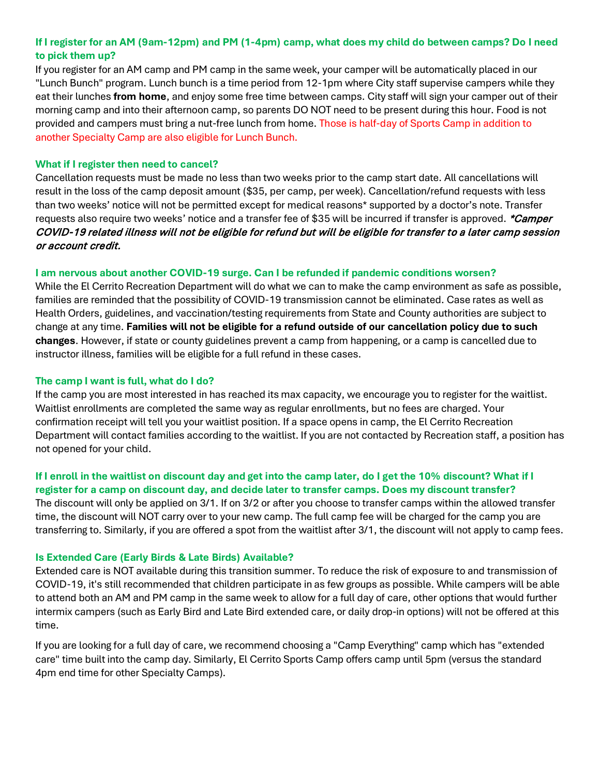# **If I register for an AM (9am-12pm) and PM (1-4pm) camp, what does my child do between camps? Do I need to pick them up?**

If you register for an AM camp and PM camp in the same week, your camper will be automatically placed in our "Lunch Bunch" program. Lunch bunch is a time period from 12-1pm where City staff supervise campers while they eat their lunches **from home**, and enjoy some free time between camps. City staff will sign your camper out of their morning camp and into their afternoon camp, so parents DO NOT need to be present during this hour. Food is not provided and campers must bring a nut-free lunch from home. Those is half-day of Sports Camp in addition to another Specialty Camp are also eligible for Lunch Bunch.

### **What if I register then need to cancel?**

Cancellation requests must be made no less than two weeks prior to the camp start date. All cancellations will result in the loss of the camp deposit amount (\$35, per camp, per week). Cancellation/refund requests with less than two weeks' notice will not be permitted except for medical reasons\* supported by a doctor's note. Transfer requests also require two weeks' notice and a transfer fee of \$35 will be incurred if transfer is approved. *\*Camper* COVID-19 related illness will not be eligible for refund but will be eligible for transfer to a later camp session or account credit.

### **I am nervous about another COVID-19 surge. Can I be refunded if pandemic conditions worsen?**

While the El Cerrito Recreation Department will do what we can to make the camp environment as safe as possible, families are reminded that the possibility of COVID-19 transmission cannot be eliminated. Case rates as well as Health Orders, guidelines, and vaccination/testing requirements from State and County authorities are subject to change at any time. **Families will not be eligible for a refund outside of our cancellation policy due to such changes**. However, if state or county guidelines prevent a camp from happening, or a camp is cancelled due to instructor illness, families will be eligible for a full refund in these cases.

### **The camp I want is full, what do I do?**

If the camp you are most interested in has reached its max capacity, we encourage you to register for the waitlist. Waitlist enrollments are completed the same way as regular enrollments, but no fees are charged. Your confirmation receipt will tell you your waitlist position. If a space opens in camp, the El Cerrito Recreation Department will contact families according to the waitlist. If you are not contacted by Recreation staff, a position has not opened for your child.

# **If I enroll in the waitlist on discount day and get into the camp later, do I get the 10% discount? What if I register for a camp on discount day, and decide later to transfer camps. Does my discount transfer?**

The discount will only be applied on 3/1. If on 3/2 or after you choose to transfer camps within the allowed transfer time, the discount will NOT carry over to your new camp. The full camp fee will be charged for the camp you are transferring to. Similarly, if you are offered a spot from the waitlist after 3/1, the discount will not apply to camp fees.

### **Is Extended Care (Early Birds & Late Birds) Available?**

Extended care is NOT available during this transition summer. To reduce the risk of exposure to and transmission of COVID-19, it's still recommended that children participate in as few groups as possible. While campers will be able to attend both an AM and PM camp in the same week to allow for a full day of care, other options that would further intermix campers (such as Early Bird and Late Bird extended care, or daily drop-in options) will not be offered at this time.

If you are looking for a full day of care, we recommend choosing a "Camp Everything" camp which has "extended care" time built into the camp day. Similarly, El Cerrito Sports Camp offers camp until 5pm (versus the standard 4pm end time for other Specialty Camps).